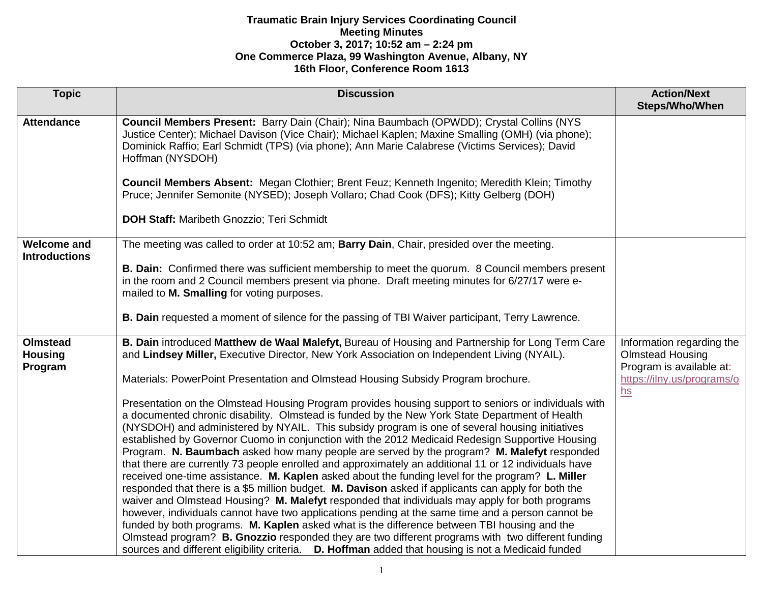| <b>Topic</b>                                 | <b>Discussion</b>                                                                                                                                                                                                                                                                                                                                                                                                                                                                                                                                                                                                                                                                                                                                                                                                                                                                                                                                                                                                                                                                                                                                                                                                                                                                                                                              | <b>Action/Next</b><br>Steps/Who/When                                             |
|----------------------------------------------|------------------------------------------------------------------------------------------------------------------------------------------------------------------------------------------------------------------------------------------------------------------------------------------------------------------------------------------------------------------------------------------------------------------------------------------------------------------------------------------------------------------------------------------------------------------------------------------------------------------------------------------------------------------------------------------------------------------------------------------------------------------------------------------------------------------------------------------------------------------------------------------------------------------------------------------------------------------------------------------------------------------------------------------------------------------------------------------------------------------------------------------------------------------------------------------------------------------------------------------------------------------------------------------------------------------------------------------------|----------------------------------------------------------------------------------|
| <b>Attendance</b>                            | Council Members Present: Barry Dain (Chair); Nina Baumbach (OPWDD); Crystal Collins (NYS<br>Justice Center); Michael Davison (Vice Chair); Michael Kaplen; Maxine Smalling (OMH) (via phone);<br>Dominick Raffio; Earl Schmidt (TPS) (via phone); Ann Marie Calabrese (Victims Services); David<br>Hoffman (NYSDOH)                                                                                                                                                                                                                                                                                                                                                                                                                                                                                                                                                                                                                                                                                                                                                                                                                                                                                                                                                                                                                            |                                                                                  |
|                                              | Council Members Absent: Megan Clothier; Brent Feuz; Kenneth Ingenito; Meredith Klein; Timothy<br>Pruce; Jennifer Semonite (NYSED); Joseph Vollaro; Chad Cook (DFS); Kitty Gelberg (DOH)                                                                                                                                                                                                                                                                                                                                                                                                                                                                                                                                                                                                                                                                                                                                                                                                                                                                                                                                                                                                                                                                                                                                                        |                                                                                  |
|                                              | <b>DOH Staff: Maribeth Gnozzio; Teri Schmidt</b>                                                                                                                                                                                                                                                                                                                                                                                                                                                                                                                                                                                                                                                                                                                                                                                                                                                                                                                                                                                                                                                                                                                                                                                                                                                                                               |                                                                                  |
| <b>Welcome and</b><br><b>Introductions</b>   | The meeting was called to order at 10:52 am; Barry Dain, Chair, presided over the meeting.                                                                                                                                                                                                                                                                                                                                                                                                                                                                                                                                                                                                                                                                                                                                                                                                                                                                                                                                                                                                                                                                                                                                                                                                                                                     |                                                                                  |
|                                              | <b>B. Dain:</b> Confirmed there was sufficient membership to meet the quorum. 8 Council members present<br>in the room and 2 Council members present via phone. Draft meeting minutes for 6/27/17 were e-<br>mailed to M. Smalling for voting purposes.                                                                                                                                                                                                                                                                                                                                                                                                                                                                                                                                                                                                                                                                                                                                                                                                                                                                                                                                                                                                                                                                                        |                                                                                  |
|                                              | <b>B. Dain requested a moment of silence for the passing of TBI Waiver participant, Terry Lawrence.</b>                                                                                                                                                                                                                                                                                                                                                                                                                                                                                                                                                                                                                                                                                                                                                                                                                                                                                                                                                                                                                                                                                                                                                                                                                                        |                                                                                  |
| <b>Olmstead</b><br><b>Housing</b><br>Program | B. Dain introduced Matthew de Waal Malefyt, Bureau of Housing and Partnership for Long Term Care<br>and Lindsey Miller, Executive Director, New York Association on Independent Living (NYAIL).                                                                                                                                                                                                                                                                                                                                                                                                                                                                                                                                                                                                                                                                                                                                                                                                                                                                                                                                                                                                                                                                                                                                                | Information regarding the<br><b>Olmstead Housing</b><br>Program is available at: |
|                                              | Materials: PowerPoint Presentation and Olmstead Housing Subsidy Program brochure.                                                                                                                                                                                                                                                                                                                                                                                                                                                                                                                                                                                                                                                                                                                                                                                                                                                                                                                                                                                                                                                                                                                                                                                                                                                              | https://ilny.us/programs/o<br>$hs$                                               |
|                                              | Presentation on the Olmstead Housing Program provides housing support to seniors or individuals with<br>a documented chronic disability. Olmstead is funded by the New York State Department of Health<br>(NYSDOH) and administered by NYAIL. This subsidy program is one of several housing initiatives<br>established by Governor Cuomo in conjunction with the 2012 Medicaid Redesign Supportive Housing<br>Program. N. Baumbach asked how many people are served by the program? M. Malefyt responded<br>that there are currently 73 people enrolled and approximately an additional 11 or 12 individuals have<br>received one-time assistance. M. Kaplen asked about the funding level for the program? L. Miller<br>responded that there is a \$5 million budget. M. Davison asked if applicants can apply for both the<br>waiver and Olmstead Housing? M. Malefyt responded that individuals may apply for both programs<br>however, individuals cannot have two applications pending at the same time and a person cannot be<br>funded by both programs. M. Kaplen asked what is the difference between TBI housing and the<br>Olmstead program? B. Gnozzio responded they are two different programs with two different funding<br>sources and different eligibility criteria. D. Hoffman added that housing is not a Medicaid funded |                                                                                  |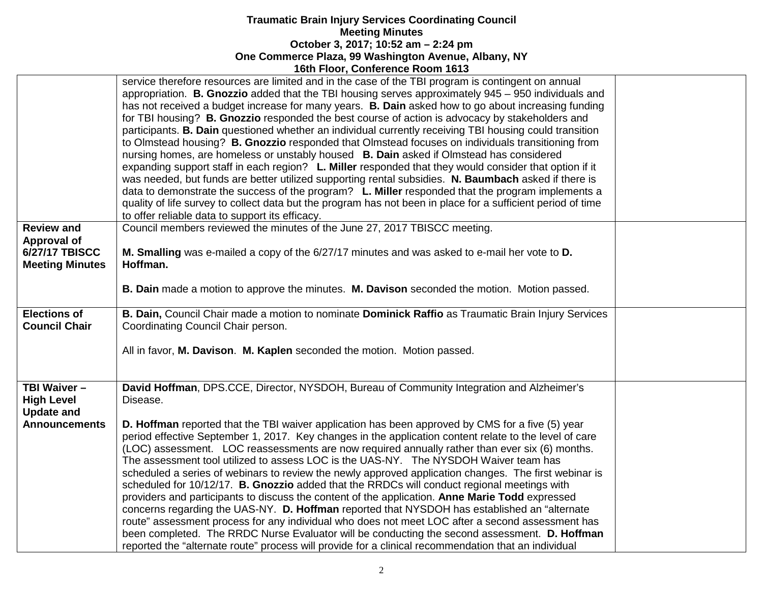|                                             | service therefore resources are limited and in the case of the TBI program is contingent on annual<br>appropriation. B. Gnozzio added that the TBI housing serves approximately 945 - 950 individuals and<br>has not received a budget increase for many years. B. Dain asked how to go about increasing funding<br>for TBI housing? <b>B. Gnozzio</b> responded the best course of action is advocacy by stakeholders and<br>participants. B. Dain questioned whether an individual currently receiving TBI housing could transition<br>to Olmstead housing? <b>B. Gnozzio</b> responded that Olmstead focuses on individuals transitioning from<br>nursing homes, are homeless or unstably housed B. Dain asked if Olmstead has considered<br>expanding support staff in each region? L. Miller responded that they would consider that option if it<br>was needed, but funds are better utilized supporting rental subsidies. N. Baumbach asked if there is<br>data to demonstrate the success of the program? L. Miller responded that the program implements a<br>quality of life survey to collect data but the program has not been in place for a sufficient period of time<br>to offer reliable data to support its efficacy. |  |
|---------------------------------------------|----------------------------------------------------------------------------------------------------------------------------------------------------------------------------------------------------------------------------------------------------------------------------------------------------------------------------------------------------------------------------------------------------------------------------------------------------------------------------------------------------------------------------------------------------------------------------------------------------------------------------------------------------------------------------------------------------------------------------------------------------------------------------------------------------------------------------------------------------------------------------------------------------------------------------------------------------------------------------------------------------------------------------------------------------------------------------------------------------------------------------------------------------------------------------------------------------------------------------------------|--|
| <b>Review and</b>                           | Council members reviewed the minutes of the June 27, 2017 TBISCC meeting.                                                                                                                                                                                                                                                                                                                                                                                                                                                                                                                                                                                                                                                                                                                                                                                                                                                                                                                                                                                                                                                                                                                                                              |  |
| <b>Approval of</b>                          |                                                                                                                                                                                                                                                                                                                                                                                                                                                                                                                                                                                                                                                                                                                                                                                                                                                                                                                                                                                                                                                                                                                                                                                                                                        |  |
| <b>6/27/17 TBISCC</b>                       | M. Smalling was e-mailed a copy of the 6/27/17 minutes and was asked to e-mail her vote to D.                                                                                                                                                                                                                                                                                                                                                                                                                                                                                                                                                                                                                                                                                                                                                                                                                                                                                                                                                                                                                                                                                                                                          |  |
| <b>Meeting Minutes</b>                      | Hoffman.                                                                                                                                                                                                                                                                                                                                                                                                                                                                                                                                                                                                                                                                                                                                                                                                                                                                                                                                                                                                                                                                                                                                                                                                                               |  |
|                                             |                                                                                                                                                                                                                                                                                                                                                                                                                                                                                                                                                                                                                                                                                                                                                                                                                                                                                                                                                                                                                                                                                                                                                                                                                                        |  |
|                                             | B. Dain made a motion to approve the minutes. M. Davison seconded the motion. Motion passed.                                                                                                                                                                                                                                                                                                                                                                                                                                                                                                                                                                                                                                                                                                                                                                                                                                                                                                                                                                                                                                                                                                                                           |  |
| <b>Elections of</b><br><b>Council Chair</b> | B. Dain, Council Chair made a motion to nominate Dominick Raffio as Traumatic Brain Injury Services<br>Coordinating Council Chair person.                                                                                                                                                                                                                                                                                                                                                                                                                                                                                                                                                                                                                                                                                                                                                                                                                                                                                                                                                                                                                                                                                              |  |
|                                             | All in favor, M. Davison. M. Kaplen seconded the motion. Motion passed.                                                                                                                                                                                                                                                                                                                                                                                                                                                                                                                                                                                                                                                                                                                                                                                                                                                                                                                                                                                                                                                                                                                                                                |  |
| TBI Waiver -<br><b>High Level</b>           | David Hoffman, DPS.CCE, Director, NYSDOH, Bureau of Community Integration and Alzheimer's<br>Disease.                                                                                                                                                                                                                                                                                                                                                                                                                                                                                                                                                                                                                                                                                                                                                                                                                                                                                                                                                                                                                                                                                                                                  |  |
| <b>Update and</b>                           |                                                                                                                                                                                                                                                                                                                                                                                                                                                                                                                                                                                                                                                                                                                                                                                                                                                                                                                                                                                                                                                                                                                                                                                                                                        |  |
| <b>Announcements</b>                        | D. Hoffman reported that the TBI waiver application has been approved by CMS for a five (5) year<br>period effective September 1, 2017. Key changes in the application content relate to the level of care                                                                                                                                                                                                                                                                                                                                                                                                                                                                                                                                                                                                                                                                                                                                                                                                                                                                                                                                                                                                                             |  |
|                                             | (LOC) assessment. LOC reassessments are now required annually rather than ever six (6) months.                                                                                                                                                                                                                                                                                                                                                                                                                                                                                                                                                                                                                                                                                                                                                                                                                                                                                                                                                                                                                                                                                                                                         |  |
|                                             |                                                                                                                                                                                                                                                                                                                                                                                                                                                                                                                                                                                                                                                                                                                                                                                                                                                                                                                                                                                                                                                                                                                                                                                                                                        |  |
|                                             | The assessment tool utilized to assess LOC is the UAS-NY. The NYSDOH Waiver team has                                                                                                                                                                                                                                                                                                                                                                                                                                                                                                                                                                                                                                                                                                                                                                                                                                                                                                                                                                                                                                                                                                                                                   |  |
|                                             | scheduled a series of webinars to review the newly approved application changes. The first webinar is                                                                                                                                                                                                                                                                                                                                                                                                                                                                                                                                                                                                                                                                                                                                                                                                                                                                                                                                                                                                                                                                                                                                  |  |
|                                             | scheduled for 10/12/17. B. Gnozzio added that the RRDCs will conduct regional meetings with                                                                                                                                                                                                                                                                                                                                                                                                                                                                                                                                                                                                                                                                                                                                                                                                                                                                                                                                                                                                                                                                                                                                            |  |
|                                             | providers and participants to discuss the content of the application. Anne Marie Todd expressed                                                                                                                                                                                                                                                                                                                                                                                                                                                                                                                                                                                                                                                                                                                                                                                                                                                                                                                                                                                                                                                                                                                                        |  |
|                                             | concerns regarding the UAS-NY. D. Hoffman reported that NYSDOH has established an "alternate                                                                                                                                                                                                                                                                                                                                                                                                                                                                                                                                                                                                                                                                                                                                                                                                                                                                                                                                                                                                                                                                                                                                           |  |
|                                             | route" assessment process for any individual who does not meet LOC after a second assessment has                                                                                                                                                                                                                                                                                                                                                                                                                                                                                                                                                                                                                                                                                                                                                                                                                                                                                                                                                                                                                                                                                                                                       |  |
|                                             |                                                                                                                                                                                                                                                                                                                                                                                                                                                                                                                                                                                                                                                                                                                                                                                                                                                                                                                                                                                                                                                                                                                                                                                                                                        |  |
|                                             | been completed. The RRDC Nurse Evaluator will be conducting the second assessment. D. Hoffman                                                                                                                                                                                                                                                                                                                                                                                                                                                                                                                                                                                                                                                                                                                                                                                                                                                                                                                                                                                                                                                                                                                                          |  |
|                                             | reported the "alternate route" process will provide for a clinical recommendation that an individual                                                                                                                                                                                                                                                                                                                                                                                                                                                                                                                                                                                                                                                                                                                                                                                                                                                                                                                                                                                                                                                                                                                                   |  |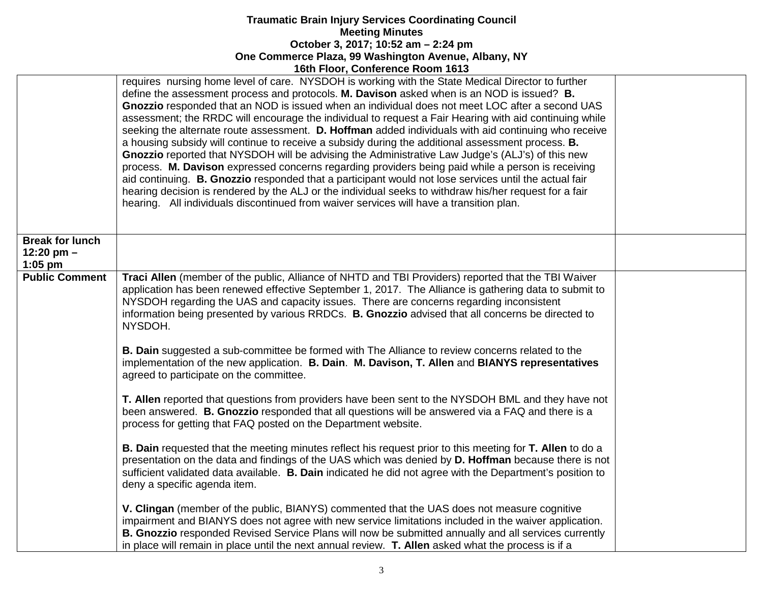|                                                     | <b>1001 LIOUI, CONFERNCE ROOM</b> 1013                                                                                                                                                                                                                                                                                                                                                                                                                                                                                                                                                                                                                                                                                                                                                                                                                                                                                                                                                                                                                                                                                                           |  |
|-----------------------------------------------------|--------------------------------------------------------------------------------------------------------------------------------------------------------------------------------------------------------------------------------------------------------------------------------------------------------------------------------------------------------------------------------------------------------------------------------------------------------------------------------------------------------------------------------------------------------------------------------------------------------------------------------------------------------------------------------------------------------------------------------------------------------------------------------------------------------------------------------------------------------------------------------------------------------------------------------------------------------------------------------------------------------------------------------------------------------------------------------------------------------------------------------------------------|--|
|                                                     | requires nursing home level of care. NYSDOH is working with the State Medical Director to further<br>define the assessment process and protocols. M. Davison asked when is an NOD is issued? B.<br>Gnozzio responded that an NOD is issued when an individual does not meet LOC after a second UAS<br>assessment; the RRDC will encourage the individual to request a Fair Hearing with aid continuing while<br>seeking the alternate route assessment. D. Hoffman added individuals with aid continuing who receive<br>a housing subsidy will continue to receive a subsidy during the additional assessment process. B.<br>Gnozzio reported that NYSDOH will be advising the Administrative Law Judge's (ALJ's) of this new<br>process. M. Davison expressed concerns regarding providers being paid while a person is receiving<br>aid continuing. B. Gnozzio responded that a participant would not lose services until the actual fair<br>hearing decision is rendered by the ALJ or the individual seeks to withdraw his/her request for a fair<br>hearing. All individuals discontinued from waiver services will have a transition plan. |  |
| <b>Break for lunch</b><br>12:20 pm $-$<br>$1:05$ pm |                                                                                                                                                                                                                                                                                                                                                                                                                                                                                                                                                                                                                                                                                                                                                                                                                                                                                                                                                                                                                                                                                                                                                  |  |
| <b>Public Comment</b>                               | Traci Allen (member of the public, Alliance of NHTD and TBI Providers) reported that the TBI Waiver<br>application has been renewed effective September 1, 2017. The Alliance is gathering data to submit to<br>NYSDOH regarding the UAS and capacity issues. There are concerns regarding inconsistent<br>information being presented by various RRDCs. B. Gnozzio advised that all concerns be directed to<br>NYSDOH.                                                                                                                                                                                                                                                                                                                                                                                                                                                                                                                                                                                                                                                                                                                          |  |
|                                                     | B. Dain suggested a sub-committee be formed with The Alliance to review concerns related to the<br>implementation of the new application. B. Dain. M. Davison, T. Allen and BIANYS representatives<br>agreed to participate on the committee.                                                                                                                                                                                                                                                                                                                                                                                                                                                                                                                                                                                                                                                                                                                                                                                                                                                                                                    |  |
|                                                     | T. Allen reported that questions from providers have been sent to the NYSDOH BML and they have not<br>been answered. B. Gnozzio responded that all questions will be answered via a FAQ and there is a<br>process for getting that FAQ posted on the Department website.                                                                                                                                                                                                                                                                                                                                                                                                                                                                                                                                                                                                                                                                                                                                                                                                                                                                         |  |
|                                                     | <b>B. Dain requested that the meeting minutes reflect his request prior to this meeting for T. Allen to do a</b><br>presentation on the data and findings of the UAS which was denied by D. Hoffman because there is not<br>sufficient validated data available. B. Dain indicated he did not agree with the Department's position to<br>deny a specific agenda item.                                                                                                                                                                                                                                                                                                                                                                                                                                                                                                                                                                                                                                                                                                                                                                            |  |
|                                                     | V. Clingan (member of the public, BIANYS) commented that the UAS does not measure cognitive<br>impairment and BIANYS does not agree with new service limitations included in the waiver application.<br>B. Gnozzio responded Revised Service Plans will now be submitted annually and all services currently<br>in place will remain in place until the next annual review. T. Allen asked what the process is if a                                                                                                                                                                                                                                                                                                                                                                                                                                                                                                                                                                                                                                                                                                                              |  |